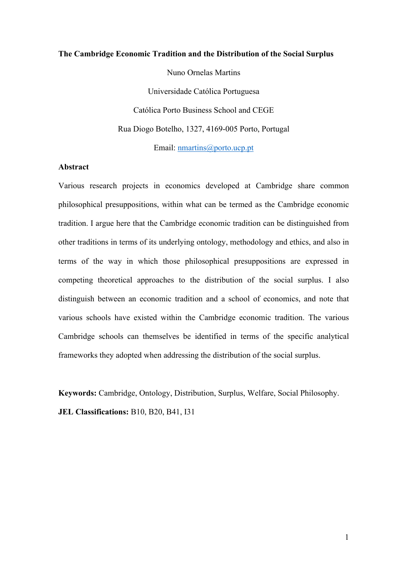#### **The Cambridge Economic Tradition and the Distribution of the Social Surplus**

Nuno Ornelas Martins

Universidade Católica Portuguesa Católica Porto Business School and CEGE Rua Diogo Botelho, 1327, 4169-005 Porto, Portugal

Email: nmartins@porto.ucp.pt

# **Abstract**

Various research projects in economics developed at Cambridge share common philosophical presuppositions, within what can be termed as the Cambridge economic tradition. I argue here that the Cambridge economic tradition can be distinguished from other traditions in terms of its underlying ontology, methodology and ethics, and also in terms of the way in which those philosophical presuppositions are expressed in competing theoretical approaches to the distribution of the social surplus. I also distinguish between an economic tradition and a school of economics, and note that various schools have existed within the Cambridge economic tradition. The various Cambridge schools can themselves be identified in terms of the specific analytical frameworks they adopted when addressing the distribution of the social surplus.

**Keywords:** Cambridge, Ontology, Distribution, Surplus, Welfare, Social Philosophy. **JEL Classifications:** B10, B20, B41, I31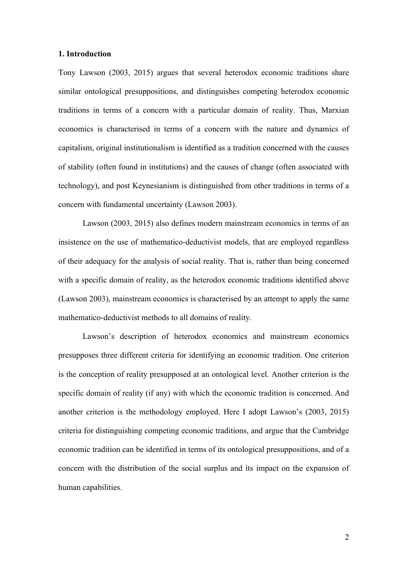### **1. Introduction**

Tony Lawson (2003, 2015) argues that several heterodox economic traditions share similar ontological presuppositions, and distinguishes competing heterodox economic traditions in terms of a concern with a particular domain of reality. Thus, Marxian economics is characterised in terms of a concern with the nature and dynamics of capitalism, original institutionalism is identified as a tradition concerned with the causes of stability (often found in institutions) and the causes of change (often associated with technology), and post Keynesianism is distinguished from other traditions in terms of a concern with fundamental uncertainty (Lawson 2003).

Lawson (2003, 2015) also defines modern mainstream economics in terms of an insistence on the use of mathematico-deductivist models, that are employed regardless of their adequacy for the analysis of social reality. That is, rather than being concerned with a specific domain of reality, as the heterodox economic traditions identified above (Lawson 2003), mainstream economics is characterised by an attempt to apply the same mathematico-deductivist methods to all domains of reality.

Lawson's description of heterodox economics and mainstream economics presupposes three different criteria for identifying an economic tradition. One criterion is the conception of reality presupposed at an ontological level. Another criterion is the specific domain of reality (if any) with which the economic tradition is concerned. And another criterion is the methodology employed. Here I adopt Lawson's (2003, 2015) criteria for distinguishing competing economic traditions, and argue that the Cambridge economic tradition can be identified in terms of its ontological presuppositions, and of a concern with the distribution of the social surplus and its impact on the expansion of human capabilities.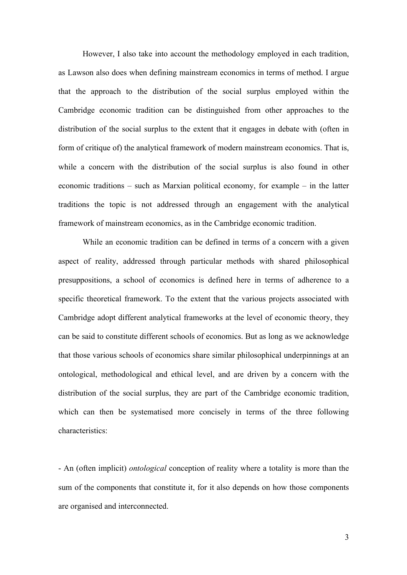However, I also take into account the methodology employed in each tradition, as Lawson also does when defining mainstream economics in terms of method. I argue that the approach to the distribution of the social surplus employed within the Cambridge economic tradition can be distinguished from other approaches to the distribution of the social surplus to the extent that it engages in debate with (often in form of critique of) the analytical framework of modern mainstream economics. That is, while a concern with the distribution of the social surplus is also found in other economic traditions – such as Marxian political economy, for example – in the latter traditions the topic is not addressed through an engagement with the analytical framework of mainstream economics, as in the Cambridge economic tradition.

While an economic tradition can be defined in terms of a concern with a given aspect of reality, addressed through particular methods with shared philosophical presuppositions, a school of economics is defined here in terms of adherence to a specific theoretical framework. To the extent that the various projects associated with Cambridge adopt different analytical frameworks at the level of economic theory, they can be said to constitute different schools of economics. But as long as we acknowledge that those various schools of economics share similar philosophical underpinnings at an ontological, methodological and ethical level, and are driven by a concern with the distribution of the social surplus, they are part of the Cambridge economic tradition, which can then be systematised more concisely in terms of the three following characteristics:

- An (often implicit) *ontological* conception of reality where a totality is more than the sum of the components that constitute it, for it also depends on how those components are organised and interconnected.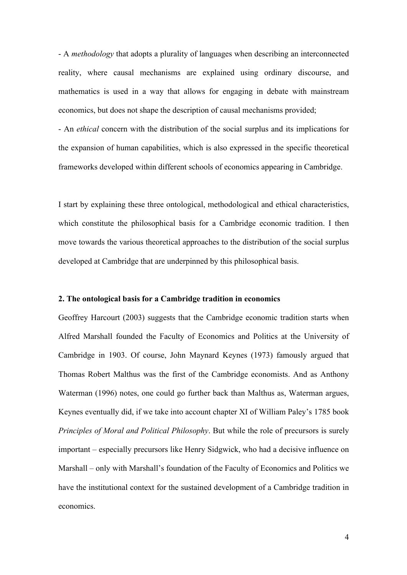- A *methodology* that adopts a plurality of languages when describing an interconnected reality, where causal mechanisms are explained using ordinary discourse, and mathematics is used in a way that allows for engaging in debate with mainstream economics, but does not shape the description of causal mechanisms provided;

- An *ethical* concern with the distribution of the social surplus and its implications for the expansion of human capabilities, which is also expressed in the specific theoretical frameworks developed within different schools of economics appearing in Cambridge.

I start by explaining these three ontological, methodological and ethical characteristics, which constitute the philosophical basis for a Cambridge economic tradition. I then move towards the various theoretical approaches to the distribution of the social surplus developed at Cambridge that are underpinned by this philosophical basis.

## **2. The ontological basis for a Cambridge tradition in economics**

Geoffrey Harcourt (2003) suggests that the Cambridge economic tradition starts when Alfred Marshall founded the Faculty of Economics and Politics at the University of Cambridge in 1903. Of course, John Maynard Keynes (1973) famously argued that Thomas Robert Malthus was the first of the Cambridge economists. And as Anthony Waterman (1996) notes, one could go further back than Malthus as, Waterman argues, Keynes eventually did, if we take into account chapter XI of William Paley's 1785 book *Principles of Moral and Political Philosophy*. But while the role of precursors is surely important – especially precursors like Henry Sidgwick, who had a decisive influence on Marshall – only with Marshall's foundation of the Faculty of Economics and Politics we have the institutional context for the sustained development of a Cambridge tradition in economics.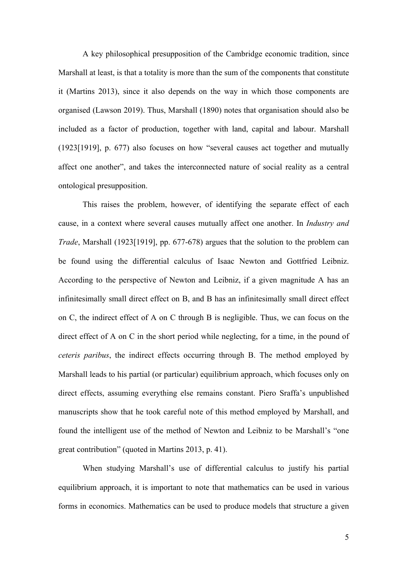A key philosophical presupposition of the Cambridge economic tradition, since Marshall at least, is that a totality is more than the sum of the components that constitute it (Martins 2013), since it also depends on the way in which those components are organised (Lawson 2019). Thus, Marshall (1890) notes that organisation should also be included as a factor of production, together with land, capital and labour. Marshall (1923[1919], p. 677) also focuses on how "several causes act together and mutually affect one another", and takes the interconnected nature of social reality as a central ontological presupposition.

This raises the problem, however, of identifying the separate effect of each cause, in a context where several causes mutually affect one another. In *Industry and Trade*, Marshall (1923[1919], pp. 677-678) argues that the solution to the problem can be found using the differential calculus of Isaac Newton and Gottfried Leibniz. According to the perspective of Newton and Leibniz, if a given magnitude A has an infinitesimally small direct effect on B, and B has an infinitesimally small direct effect on C, the indirect effect of A on C through B is negligible. Thus, we can focus on the direct effect of A on C in the short period while neglecting, for a time, in the pound of *ceteris paribus*, the indirect effects occurring through B. The method employed by Marshall leads to his partial (or particular) equilibrium approach, which focuses only on direct effects, assuming everything else remains constant. Piero Sraffa's unpublished manuscripts show that he took careful note of this method employed by Marshall, and found the intelligent use of the method of Newton and Leibniz to be Marshall's "one great contribution" (quoted in Martins 2013, p. 41).

When studying Marshall's use of differential calculus to justify his partial equilibrium approach, it is important to note that mathematics can be used in various forms in economics. Mathematics can be used to produce models that structure a given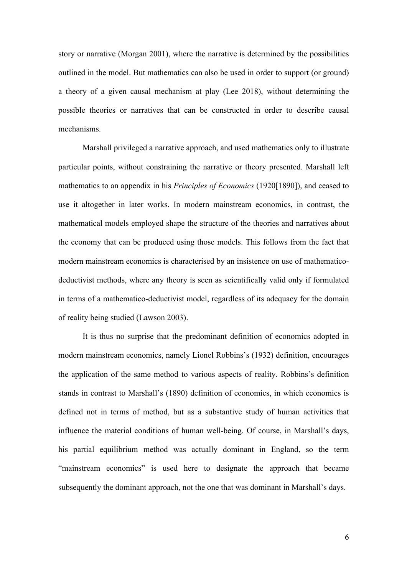story or narrative (Morgan 2001), where the narrative is determined by the possibilities outlined in the model. But mathematics can also be used in order to support (or ground) a theory of a given causal mechanism at play (Lee 2018), without determining the possible theories or narratives that can be constructed in order to describe causal mechanisms.

Marshall privileged a narrative approach, and used mathematics only to illustrate particular points, without constraining the narrative or theory presented. Marshall left mathematics to an appendix in his *Principles of Economics* (1920[1890]), and ceased to use it altogether in later works. In modern mainstream economics, in contrast, the mathematical models employed shape the structure of the theories and narratives about the economy that can be produced using those models. This follows from the fact that modern mainstream economics is characterised by an insistence on use of mathematicodeductivist methods, where any theory is seen as scientifically valid only if formulated in terms of a mathematico-deductivist model, regardless of its adequacy for the domain of reality being studied (Lawson 2003).

It is thus no surprise that the predominant definition of economics adopted in modern mainstream economics, namely Lionel Robbins's (1932) definition, encourages the application of the same method to various aspects of reality. Robbins's definition stands in contrast to Marshall's (1890) definition of economics, in which economics is defined not in terms of method, but as a substantive study of human activities that influence the material conditions of human well-being. Of course, in Marshall's days, his partial equilibrium method was actually dominant in England, so the term "mainstream economics" is used here to designate the approach that became subsequently the dominant approach, not the one that was dominant in Marshall's days.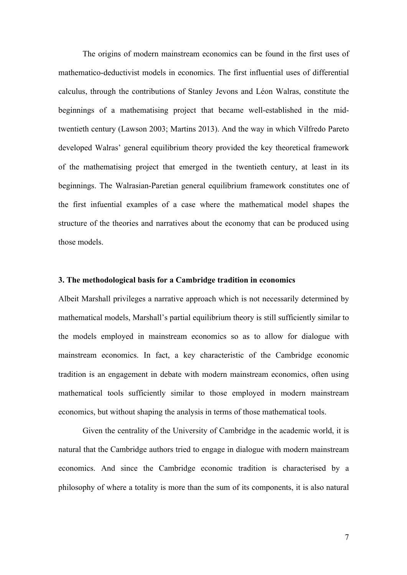The origins of modern mainstream economics can be found in the first uses of mathematico-deductivist models in economics. The first influential uses of differential calculus, through the contributions of Stanley Jevons and Léon Walras, constitute the beginnings of a mathematising project that became well-established in the midtwentieth century (Lawson 2003; Martins 2013). And the way in which Vilfredo Pareto developed Walras' general equilibrium theory provided the key theoretical framework of the mathematising project that emerged in the twentieth century, at least in its beginnings. The Walrasian-Paretian general equilibrium framework constitutes one of the first infuential examples of a case where the mathematical model shapes the structure of the theories and narratives about the economy that can be produced using those models.

# **3. The methodological basis for a Cambridge tradition in economics**

Albeit Marshall privileges a narrative approach which is not necessarily determined by mathematical models, Marshall's partial equilibrium theory is still sufficiently similar to the models employed in mainstream economics so as to allow for dialogue with mainstream economics. In fact, a key characteristic of the Cambridge economic tradition is an engagement in debate with modern mainstream economics, often using mathematical tools sufficiently similar to those employed in modern mainstream economics, but without shaping the analysis in terms of those mathematical tools.

Given the centrality of the University of Cambridge in the academic world, it is natural that the Cambridge authors tried to engage in dialogue with modern mainstream economics. And since the Cambridge economic tradition is characterised by a philosophy of where a totality is more than the sum of its components, it is also natural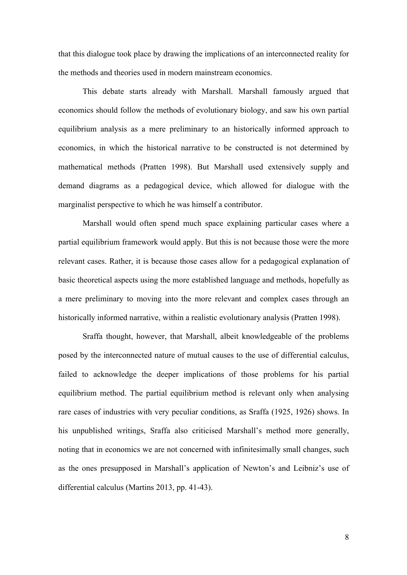that this dialogue took place by drawing the implications of an interconnected reality for the methods and theories used in modern mainstream economics.

This debate starts already with Marshall. Marshall famously argued that economics should follow the methods of evolutionary biology, and saw his own partial equilibrium analysis as a mere preliminary to an historically informed approach to economics, in which the historical narrative to be constructed is not determined by mathematical methods (Pratten 1998). But Marshall used extensively supply and demand diagrams as a pedagogical device, which allowed for dialogue with the marginalist perspective to which he was himself a contributor.

Marshall would often spend much space explaining particular cases where a partial equilibrium framework would apply. But this is not because those were the more relevant cases. Rather, it is because those cases allow for a pedagogical explanation of basic theoretical aspects using the more established language and methods, hopefully as a mere preliminary to moving into the more relevant and complex cases through an historically informed narrative, within a realistic evolutionary analysis (Pratten 1998).

Sraffa thought, however, that Marshall, albeit knowledgeable of the problems posed by the interconnected nature of mutual causes to the use of differential calculus, failed to acknowledge the deeper implications of those problems for his partial equilibrium method. The partial equilibrium method is relevant only when analysing rare cases of industries with very peculiar conditions, as Sraffa (1925, 1926) shows. In his unpublished writings, Sraffa also criticised Marshall's method more generally, noting that in economics we are not concerned with infinitesimally small changes, such as the ones presupposed in Marshall's application of Newton's and Leibniz's use of differential calculus (Martins 2013, pp. 41-43).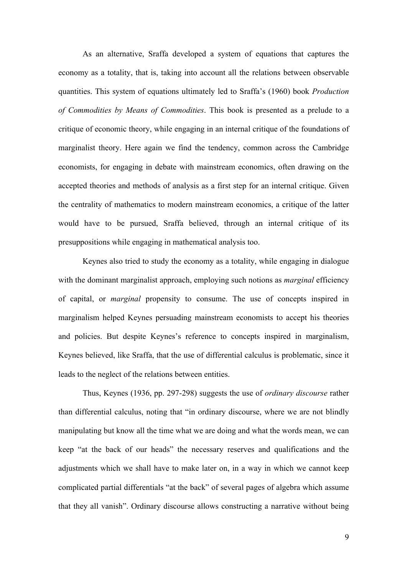As an alternative, Sraffa developed a system of equations that captures the economy as a totality, that is, taking into account all the relations between observable quantities. This system of equations ultimately led to Sraffa's (1960) book *Production of Commodities by Means of Commodities*. This book is presented as a prelude to a critique of economic theory, while engaging in an internal critique of the foundations of marginalist theory. Here again we find the tendency, common across the Cambridge economists, for engaging in debate with mainstream economics, often drawing on the accepted theories and methods of analysis as a first step for an internal critique. Given the centrality of mathematics to modern mainstream economics, a critique of the latter would have to be pursued, Sraffa believed, through an internal critique of its presuppositions while engaging in mathematical analysis too.

Keynes also tried to study the economy as a totality, while engaging in dialogue with the dominant marginalist approach, employing such notions as *marginal* efficiency of capital, or *marginal* propensity to consume. The use of concepts inspired in marginalism helped Keynes persuading mainstream economists to accept his theories and policies. But despite Keynes's reference to concepts inspired in marginalism, Keynes believed, like Sraffa, that the use of differential calculus is problematic, since it leads to the neglect of the relations between entities.

Thus, Keynes (1936, pp. 297-298) suggests the use of *ordinary discourse* rather than differential calculus, noting that "in ordinary discourse, where we are not blindly manipulating but know all the time what we are doing and what the words mean, we can keep "at the back of our heads" the necessary reserves and qualifications and the adjustments which we shall have to make later on, in a way in which we cannot keep complicated partial differentials "at the back" of several pages of algebra which assume that they all vanish". Ordinary discourse allows constructing a narrative without being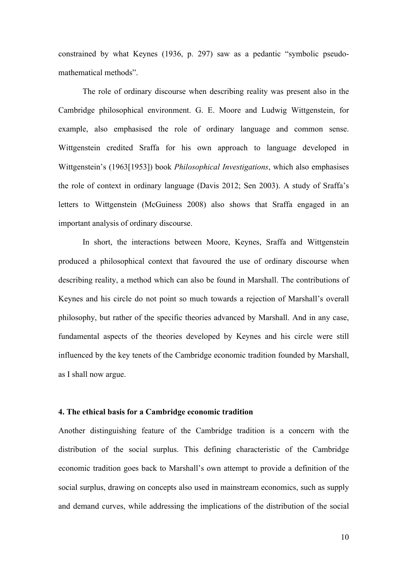constrained by what Keynes (1936, p. 297) saw as a pedantic "symbolic pseudomathematical methods".

The role of ordinary discourse when describing reality was present also in the Cambridge philosophical environment. G. E. Moore and Ludwig Wittgenstein, for example, also emphasised the role of ordinary language and common sense. Wittgenstein credited Sraffa for his own approach to language developed in Wittgenstein's (1963[1953]) book *Philosophical Investigations*, which also emphasises the role of context in ordinary language (Davis 2012; Sen 2003). A study of Sraffa's letters to Wittgenstein (McGuiness 2008) also shows that Sraffa engaged in an important analysis of ordinary discourse.

In short, the interactions between Moore, Keynes, Sraffa and Wittgenstein produced a philosophical context that favoured the use of ordinary discourse when describing reality, a method which can also be found in Marshall. The contributions of Keynes and his circle do not point so much towards a rejection of Marshall's overall philosophy, but rather of the specific theories advanced by Marshall. And in any case, fundamental aspects of the theories developed by Keynes and his circle were still influenced by the key tenets of the Cambridge economic tradition founded by Marshall, as I shall now argue.

## **4. The ethical basis for a Cambridge economic tradition**

Another distinguishing feature of the Cambridge tradition is a concern with the distribution of the social surplus. This defining characteristic of the Cambridge economic tradition goes back to Marshall's own attempt to provide a definition of the social surplus, drawing on concepts also used in mainstream economics, such as supply and demand curves, while addressing the implications of the distribution of the social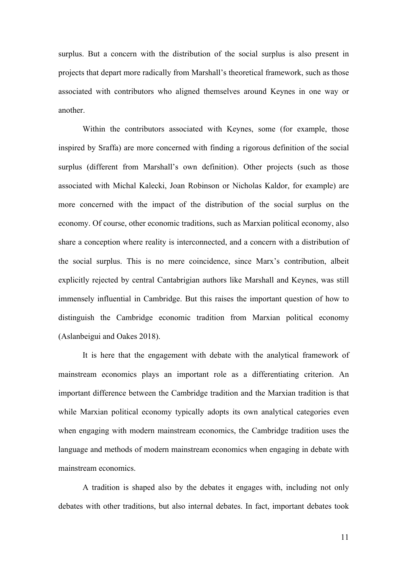surplus. But a concern with the distribution of the social surplus is also present in projects that depart more radically from Marshall's theoretical framework, such as those associated with contributors who aligned themselves around Keynes in one way or another.

Within the contributors associated with Keynes, some (for example, those inspired by Sraffa) are more concerned with finding a rigorous definition of the social surplus (different from Marshall's own definition). Other projects (such as those associated with Michal Kalecki, Joan Robinson or Nicholas Kaldor, for example) are more concerned with the impact of the distribution of the social surplus on the economy. Of course, other economic traditions, such as Marxian political economy, also share a conception where reality is interconnected, and a concern with a distribution of the social surplus. This is no mere coincidence, since Marx's contribution, albeit explicitly rejected by central Cantabrigian authors like Marshall and Keynes, was still immensely influential in Cambridge. But this raises the important question of how to distinguish the Cambridge economic tradition from Marxian political economy (Aslanbeigui and Oakes 2018).

It is here that the engagement with debate with the analytical framework of mainstream economics plays an important role as a differentiating criterion. An important difference between the Cambridge tradition and the Marxian tradition is that while Marxian political economy typically adopts its own analytical categories even when engaging with modern mainstream economics, the Cambridge tradition uses the language and methods of modern mainstream economics when engaging in debate with mainstream economics.

A tradition is shaped also by the debates it engages with, including not only debates with other traditions, but also internal debates. In fact, important debates took

11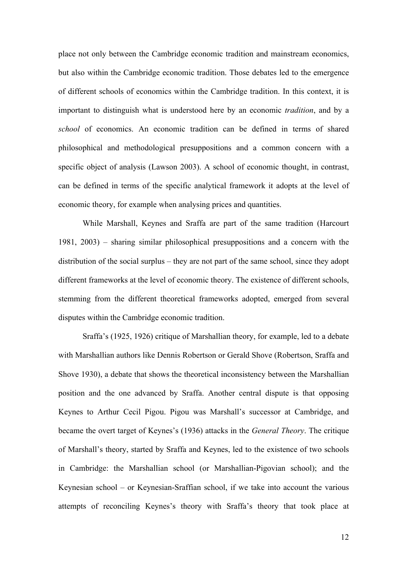place not only between the Cambridge economic tradition and mainstream economics, but also within the Cambridge economic tradition. Those debates led to the emergence of different schools of economics within the Cambridge tradition. In this context, it is important to distinguish what is understood here by an economic *tradition*, and by a *school* of economics. An economic tradition can be defined in terms of shared philosophical and methodological presuppositions and a common concern with a specific object of analysis (Lawson 2003). A school of economic thought, in contrast, can be defined in terms of the specific analytical framework it adopts at the level of economic theory, for example when analysing prices and quantities.

While Marshall, Keynes and Sraffa are part of the same tradition (Harcourt 1981, 2003) – sharing similar philosophical presuppositions and a concern with the distribution of the social surplus – they are not part of the same school, since they adopt different frameworks at the level of economic theory. The existence of different schools, stemming from the different theoretical frameworks adopted, emerged from several disputes within the Cambridge economic tradition.

Sraffa's (1925, 1926) critique of Marshallian theory, for example, led to a debate with Marshallian authors like Dennis Robertson or Gerald Shove (Robertson, Sraffa and Shove 1930), a debate that shows the theoretical inconsistency between the Marshallian position and the one advanced by Sraffa. Another central dispute is that opposing Keynes to Arthur Cecil Pigou. Pigou was Marshall's successor at Cambridge, and became the overt target of Keynes's (1936) attacks in the *General Theory*. The critique of Marshall's theory, started by Sraffa and Keynes, led to the existence of two schools in Cambridge: the Marshallian school (or Marshallian-Pigovian school); and the Keynesian school – or Keynesian-Sraffian school, if we take into account the various attempts of reconciling Keynes's theory with Sraffa's theory that took place at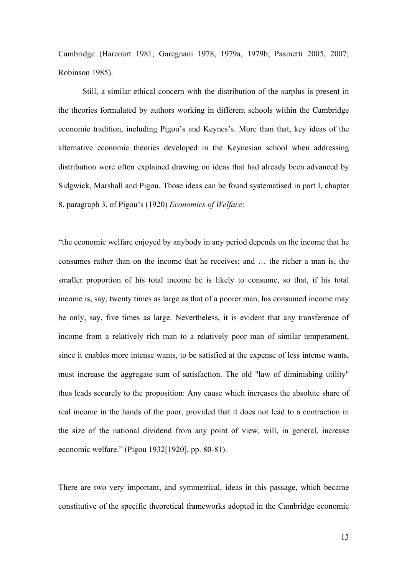Cambridge (Harcourt 1981; Garegnani 1978, 1979a, 1979b; Pasinetti 2005, 2007; Robinson 1985).

Still, a similar ethical concern with the distribution of the surplus is present in the theories formulated by authors working in different schools within the Cambridge economic tradition, including Pigou's and Keynes's. More than that, key ideas of the alternative economic theories developed in the Keynesian school when addressing distribution were often explained drawing on ideas that had already been advanced by Sidgwick, Marshall and Pigou. Those ideas can be found systematised in part I, chapter 8, paragraph 3, of Pigou's (1920) *Economics of Welfare*:

"the economic welfare enjoyed by anybody in any period depends on the income that he consumes rather than on the income that he receives; and … the richer a man is, the smaller proportion of his total income he is likely to consume, so that, if his total income is, say, twenty times as large as that of a poorer man, his consumed income may be only, say, five times as large. Nevertheless, it is evident that any transference of income from a relatively rich man to a relatively poor man of similar temperament, since it enables more intense wants, to be satisfied at the expense of less intense wants, must increase the aggregate sum of satisfaction. The old "law of diminishing utility" thus leads securely to the proposition: Any cause which increases the absolute share of real income in the hands of the poor, provided that it does not lead to a contraction in the size of the national dividend from any point of view, will, in general, increase economic welfare." (Pigou 1932[1920], pp. 80-81).

There are two very important, and symmetrical, ideas in this passage, which became constitutive of the specific theoretical frameworks adopted in the Cambridge economic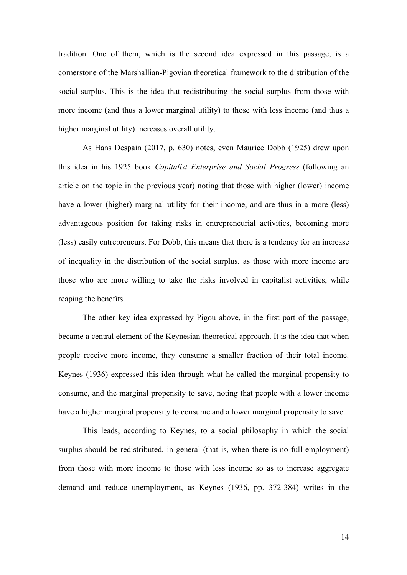tradition. One of them, which is the second idea expressed in this passage, is a cornerstone of the Marshallian-Pigovian theoretical framework to the distribution of the social surplus. This is the idea that redistributing the social surplus from those with more income (and thus a lower marginal utility) to those with less income (and thus a higher marginal utility) increases overall utility.

As Hans Despain (2017, p. 630) notes, even Maurice Dobb (1925) drew upon this idea in his 1925 book *Capitalist Enterprise and Social Progress* (following an article on the topic in the previous year) noting that those with higher (lower) income have a lower (higher) marginal utility for their income, and are thus in a more (less) advantageous position for taking risks in entrepreneurial activities, becoming more (less) easily entrepreneurs. For Dobb, this means that there is a tendency for an increase of inequality in the distribution of the social surplus, as those with more income are those who are more willing to take the risks involved in capitalist activities, while reaping the benefits.

The other key idea expressed by Pigou above, in the first part of the passage, became a central element of the Keynesian theoretical approach. It is the idea that when people receive more income, they consume a smaller fraction of their total income. Keynes (1936) expressed this idea through what he called the marginal propensity to consume, and the marginal propensity to save, noting that people with a lower income have a higher marginal propensity to consume and a lower marginal propensity to save.

This leads, according to Keynes, to a social philosophy in which the social surplus should be redistributed, in general (that is, when there is no full employment) from those with more income to those with less income so as to increase aggregate demand and reduce unemployment, as Keynes (1936, pp. 372-384) writes in the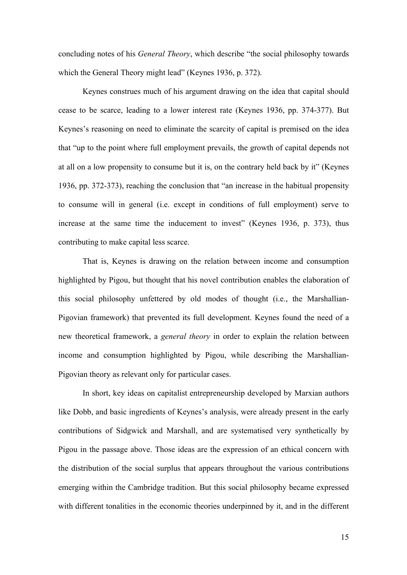concluding notes of his *General Theory*, which describe "the social philosophy towards which the General Theory might lead" (Keynes 1936, p. 372).

Keynes construes much of his argument drawing on the idea that capital should cease to be scarce, leading to a lower interest rate (Keynes 1936, pp. 374-377). But Keynes's reasoning on need to eliminate the scarcity of capital is premised on the idea that "up to the point where full employment prevails, the growth of capital depends not at all on a low propensity to consume but it is, on the contrary held back by it" (Keynes 1936, pp. 372-373), reaching the conclusion that "an increase in the habitual propensity to consume will in general (i.e. except in conditions of full employment) serve to increase at the same time the inducement to invest" (Keynes 1936, p. 373), thus contributing to make capital less scarce.

That is, Keynes is drawing on the relation between income and consumption highlighted by Pigou, but thought that his novel contribution enables the elaboration of this social philosophy unfettered by old modes of thought (i.e., the Marshallian-Pigovian framework) that prevented its full development. Keynes found the need of a new theoretical framework, a *general theory* in order to explain the relation between income and consumption highlighted by Pigou, while describing the Marshallian-Pigovian theory as relevant only for particular cases.

In short, key ideas on capitalist entrepreneurship developed by Marxian authors like Dobb, and basic ingredients of Keynes's analysis, were already present in the early contributions of Sidgwick and Marshall, and are systematised very synthetically by Pigou in the passage above. Those ideas are the expression of an ethical concern with the distribution of the social surplus that appears throughout the various contributions emerging within the Cambridge tradition. But this social philosophy became expressed with different tonalities in the economic theories underpinned by it, and in the different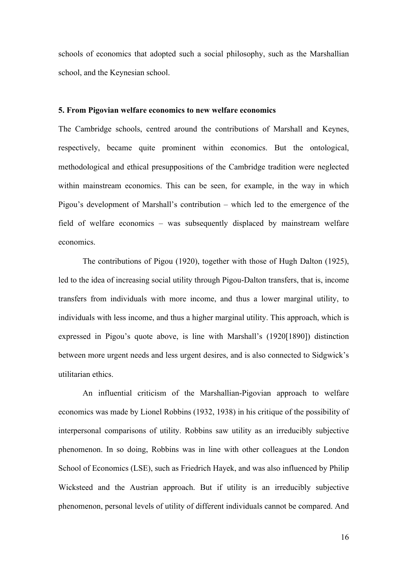schools of economics that adopted such a social philosophy, such as the Marshallian school, and the Keynesian school.

#### **5. From Pigovian welfare economics to new welfare economics**

The Cambridge schools, centred around the contributions of Marshall and Keynes, respectively, became quite prominent within economics. But the ontological, methodological and ethical presuppositions of the Cambridge tradition were neglected within mainstream economics. This can be seen, for example, in the way in which Pigou's development of Marshall's contribution – which led to the emergence of the field of welfare economics – was subsequently displaced by mainstream welfare economics.

The contributions of Pigou (1920), together with those of Hugh Dalton (1925), led to the idea of increasing social utility through Pigou-Dalton transfers, that is, income transfers from individuals with more income, and thus a lower marginal utility, to individuals with less income, and thus a higher marginal utility. This approach, which is expressed in Pigou's quote above, is line with Marshall's (1920[1890]) distinction between more urgent needs and less urgent desires, and is also connected to Sidgwick's utilitarian ethics.

An influential criticism of the Marshallian-Pigovian approach to welfare economics was made by Lionel Robbins (1932, 1938) in his critique of the possibility of interpersonal comparisons of utility. Robbins saw utility as an irreducibly subjective phenomenon. In so doing, Robbins was in line with other colleagues at the London School of Economics (LSE), such as Friedrich Hayek, and was also influenced by Philip Wicksteed and the Austrian approach. But if utility is an irreducibly subjective phenomenon, personal levels of utility of different individuals cannot be compared. And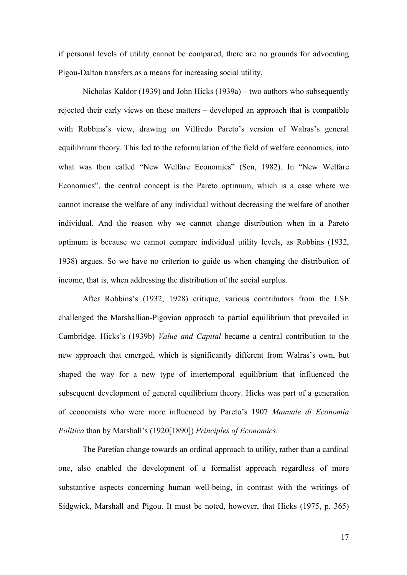if personal levels of utility cannot be compared, there are no grounds for advocating Pigou-Dalton transfers as a means for increasing social utility.

Nicholas Kaldor (1939) and John Hicks (1939a) – two authors who subsequently rejected their early views on these matters – developed an approach that is compatible with Robbins's view, drawing on Vilfredo Pareto's version of Walras's general equilibrium theory. This led to the reformulation of the field of welfare economics, into what was then called "New Welfare Economics" (Sen, 1982). In "New Welfare Economics", the central concept is the Pareto optimum, which is a case where we cannot increase the welfare of any individual without decreasing the welfare of another individual. And the reason why we cannot change distribution when in a Pareto optimum is because we cannot compare individual utility levels, as Robbins (1932, 1938) argues. So we have no criterion to guide us when changing the distribution of income, that is, when addressing the distribution of the social surplus.

After Robbins's (1932, 1928) critique, various contributors from the LSE challenged the Marshallian-Pigovian approach to partial equilibrium that prevailed in Cambridge. Hicks's (1939b) *Value and Capital* became a central contribution to the new approach that emerged, which is significantly different from Walras's own, but shaped the way for a new type of intertemporal equilibrium that influenced the subsequent development of general equilibrium theory. Hicks was part of a generation of economists who were more influenced by Pareto's 1907 *Manuale di Economia Politica* than by Marshall's (1920[1890]) *Principles of Economics*.

The Paretian change towards an ordinal approach to utility, rather than a cardinal one, also enabled the development of a formalist approach regardless of more substantive aspects concerning human well-being, in contrast with the writings of Sidgwick, Marshall and Pigou. It must be noted, however, that Hicks (1975, p. 365)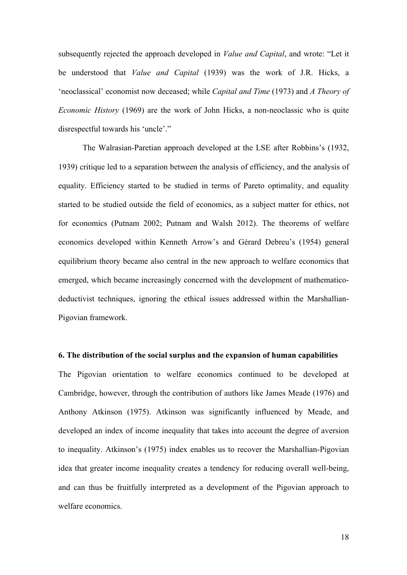subsequently rejected the approach developed in *Value and Capital*, and wrote: "Let it be understood that *Value and Capital* (1939) was the work of J.R. Hicks, a 'neoclassical' economist now deceased; while *Capital and Time* (1973) and *A Theory of Economic History* (1969) are the work of John Hicks, a non-neoclassic who is quite disrespectful towards his 'uncle'."

The Walrasian-Paretian approach developed at the LSE after Robbins's (1932, 1939) critique led to a separation between the analysis of efficiency, and the analysis of equality. Efficiency started to be studied in terms of Pareto optimality, and equality started to be studied outside the field of economics, as a subject matter for ethics, not for economics (Putnam 2002; Putnam and Walsh 2012). The theorems of welfare economics developed within Kenneth Arrow's and Gérard Debreu's (1954) general equilibrium theory became also central in the new approach to welfare economics that emerged, which became increasingly concerned with the development of mathematicodeductivist techniques, ignoring the ethical issues addressed within the Marshallian-Pigovian framework.

#### **6. The distribution of the social surplus and the expansion of human capabilities**

The Pigovian orientation to welfare economics continued to be developed at Cambridge, however, through the contribution of authors like James Meade (1976) and Anthony Atkinson (1975). Atkinson was significantly influenced by Meade, and developed an index of income inequality that takes into account the degree of aversion to inequality. Atkinson's (1975) index enables us to recover the Marshallian-Pigovian idea that greater income inequality creates a tendency for reducing overall well-being, and can thus be fruitfully interpreted as a development of the Pigovian approach to welfare economics.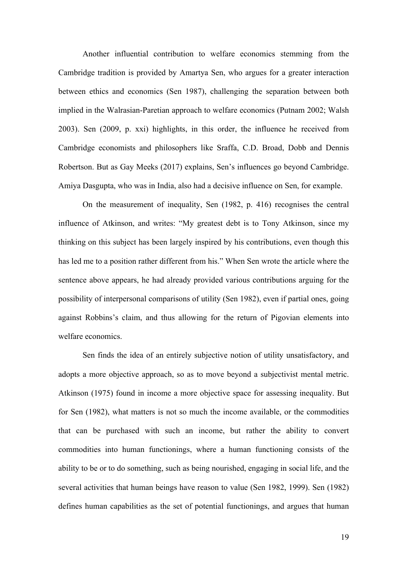Another influential contribution to welfare economics stemming from the Cambridge tradition is provided by Amartya Sen, who argues for a greater interaction between ethics and economics (Sen 1987), challenging the separation between both implied in the Walrasian-Paretian approach to welfare economics (Putnam 2002; Walsh 2003). Sen (2009, p. xxi) highlights, in this order, the influence he received from Cambridge economists and philosophers like Sraffa, C.D. Broad, Dobb and Dennis Robertson. But as Gay Meeks (2017) explains, Sen's influences go beyond Cambridge. Amiya Dasgupta, who was in India, also had a decisive influence on Sen, for example.

On the measurement of inequality, Sen (1982, p. 416) recognises the central influence of Atkinson, and writes: "My greatest debt is to Tony Atkinson, since my thinking on this subject has been largely inspired by his contributions, even though this has led me to a position rather different from his." When Sen wrote the article where the sentence above appears, he had already provided various contributions arguing for the possibility of interpersonal comparisons of utility (Sen 1982), even if partial ones, going against Robbins's claim, and thus allowing for the return of Pigovian elements into welfare economics.

Sen finds the idea of an entirely subjective notion of utility unsatisfactory, and adopts a more objective approach, so as to move beyond a subjectivist mental metric. Atkinson (1975) found in income a more objective space for assessing inequality. But for Sen (1982), what matters is not so much the income available, or the commodities that can be purchased with such an income, but rather the ability to convert commodities into human functionings, where a human functioning consists of the ability to be or to do something, such as being nourished, engaging in social life, and the several activities that human beings have reason to value (Sen 1982, 1999). Sen (1982) defines human capabilities as the set of potential functionings, and argues that human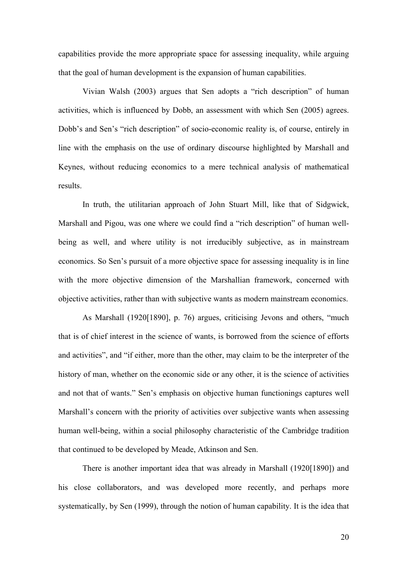capabilities provide the more appropriate space for assessing inequality, while arguing that the goal of human development is the expansion of human capabilities.

Vivian Walsh (2003) argues that Sen adopts a "rich description" of human activities, which is influenced by Dobb, an assessment with which Sen (2005) agrees. Dobb's and Sen's "rich description" of socio-economic reality is, of course, entirely in line with the emphasis on the use of ordinary discourse highlighted by Marshall and Keynes, without reducing economics to a mere technical analysis of mathematical results.

In truth, the utilitarian approach of John Stuart Mill, like that of Sidgwick, Marshall and Pigou, was one where we could find a "rich description" of human wellbeing as well, and where utility is not irreducibly subjective, as in mainstream economics. So Sen's pursuit of a more objective space for assessing inequality is in line with the more objective dimension of the Marshallian framework, concerned with objective activities, rather than with subjective wants as modern mainstream economics.

As Marshall (1920[1890], p. 76) argues, criticising Jevons and others, "much that is of chief interest in the science of wants, is borrowed from the science of efforts and activities", and "if either, more than the other, may claim to be the interpreter of the history of man, whether on the economic side or any other, it is the science of activities and not that of wants." Sen's emphasis on objective human functionings captures well Marshall's concern with the priority of activities over subjective wants when assessing human well-being, within a social philosophy characteristic of the Cambridge tradition that continued to be developed by Meade, Atkinson and Sen.

There is another important idea that was already in Marshall (1920[1890]) and his close collaborators, and was developed more recently, and perhaps more systematically, by Sen (1999), through the notion of human capability. It is the idea that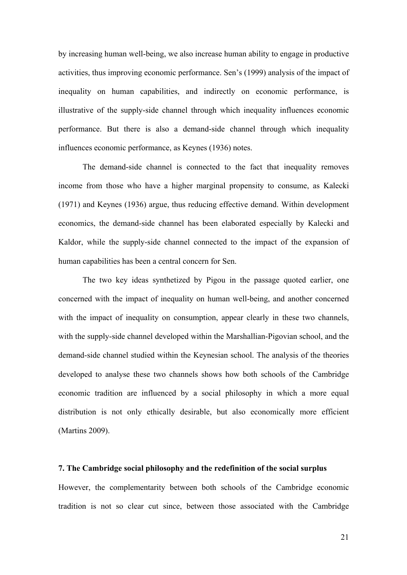by increasing human well-being, we also increase human ability to engage in productive activities, thus improving economic performance. Sen's (1999) analysis of the impact of inequality on human capabilities, and indirectly on economic performance, is illustrative of the supply-side channel through which inequality influences economic performance. But there is also a demand-side channel through which inequality influences economic performance, as Keynes (1936) notes.

The demand-side channel is connected to the fact that inequality removes income from those who have a higher marginal propensity to consume, as Kalecki (1971) and Keynes (1936) argue, thus reducing effective demand. Within development economics, the demand-side channel has been elaborated especially by Kalecki and Kaldor, while the supply-side channel connected to the impact of the expansion of human capabilities has been a central concern for Sen.

The two key ideas synthetized by Pigou in the passage quoted earlier, one concerned with the impact of inequality on human well-being, and another concerned with the impact of inequality on consumption, appear clearly in these two channels, with the supply-side channel developed within the Marshallian-Pigovian school, and the demand-side channel studied within the Keynesian school. The analysis of the theories developed to analyse these two channels shows how both schools of the Cambridge economic tradition are influenced by a social philosophy in which a more equal distribution is not only ethically desirable, but also economically more efficient (Martins 2009).

#### **7. The Cambridge social philosophy and the redefinition of the social surplus**

However, the complementarity between both schools of the Cambridge economic tradition is not so clear cut since, between those associated with the Cambridge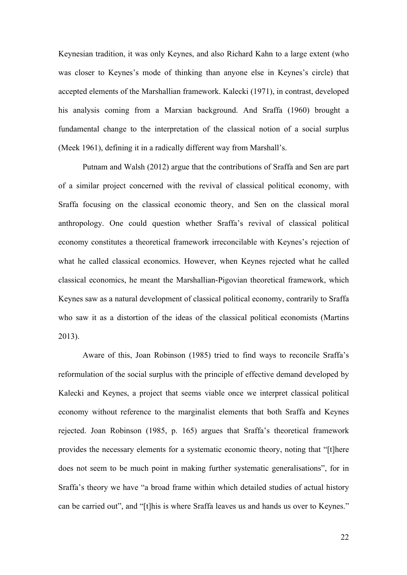Keynesian tradition, it was only Keynes, and also Richard Kahn to a large extent (who was closer to Keynes's mode of thinking than anyone else in Keynes's circle) that accepted elements of the Marshallian framework. Kalecki (1971), in contrast, developed his analysis coming from a Marxian background. And Sraffa (1960) brought a fundamental change to the interpretation of the classical notion of a social surplus (Meek 1961), defining it in a radically different way from Marshall's.

Putnam and Walsh (2012) argue that the contributions of Sraffa and Sen are part of a similar project concerned with the revival of classical political economy, with Sraffa focusing on the classical economic theory, and Sen on the classical moral anthropology. One could question whether Sraffa's revival of classical political economy constitutes a theoretical framework irreconcilable with Keynes's rejection of what he called classical economics. However, when Keynes rejected what he called classical economics, he meant the Marshallian-Pigovian theoretical framework, which Keynes saw as a natural development of classical political economy, contrarily to Sraffa who saw it as a distortion of the ideas of the classical political economists (Martins 2013).

Aware of this, Joan Robinson (1985) tried to find ways to reconcile Sraffa's reformulation of the social surplus with the principle of effective demand developed by Kalecki and Keynes, a project that seems viable once we interpret classical political economy without reference to the marginalist elements that both Sraffa and Keynes rejected. Joan Robinson (1985, p. 165) argues that Sraffa's theoretical framework provides the necessary elements for a systematic economic theory, noting that "[t]here does not seem to be much point in making further systematic generalisations", for in Sraffa's theory we have "a broad frame within which detailed studies of actual history can be carried out", and "[t]his is where Sraffa leaves us and hands us over to Keynes."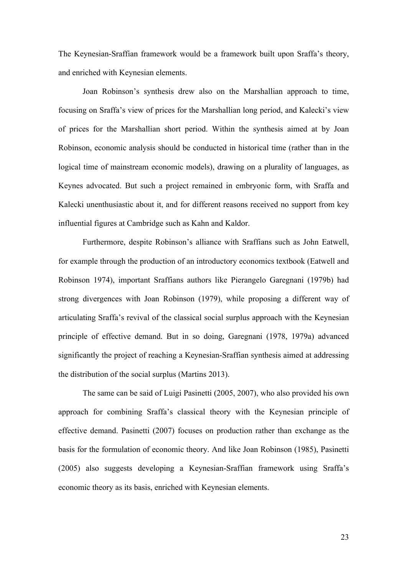The Keynesian-Sraffian framework would be a framework built upon Sraffa's theory, and enriched with Keynesian elements.

Joan Robinson's synthesis drew also on the Marshallian approach to time, focusing on Sraffa's view of prices for the Marshallian long period, and Kalecki's view of prices for the Marshallian short period. Within the synthesis aimed at by Joan Robinson, economic analysis should be conducted in historical time (rather than in the logical time of mainstream economic models), drawing on a plurality of languages, as Keynes advocated. But such a project remained in embryonic form, with Sraffa and Kalecki unenthusiastic about it, and for different reasons received no support from key influential figures at Cambridge such as Kahn and Kaldor.

Furthermore, despite Robinson's alliance with Sraffians such as John Eatwell, for example through the production of an introductory economics textbook (Eatwell and Robinson 1974), important Sraffians authors like Pierangelo Garegnani (1979b) had strong divergences with Joan Robinson (1979), while proposing a different way of articulating Sraffa's revival of the classical social surplus approach with the Keynesian principle of effective demand. But in so doing, Garegnani (1978, 1979a) advanced significantly the project of reaching a Keynesian-Sraffian synthesis aimed at addressing the distribution of the social surplus (Martins 2013).

The same can be said of Luigi Pasinetti (2005, 2007), who also provided his own approach for combining Sraffa's classical theory with the Keynesian principle of effective demand. Pasinetti (2007) focuses on production rather than exchange as the basis for the formulation of economic theory. And like Joan Robinson (1985), Pasinetti (2005) also suggests developing a Keynesian-Sraffian framework using Sraffa's economic theory as its basis, enriched with Keynesian elements.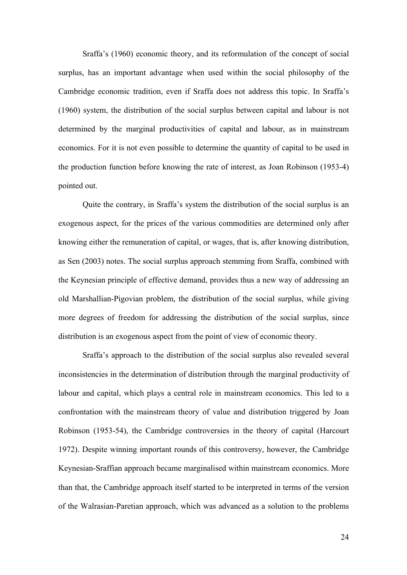Sraffa's (1960) economic theory, and its reformulation of the concept of social surplus, has an important advantage when used within the social philosophy of the Cambridge economic tradition, even if Sraffa does not address this topic. In Sraffa's (1960) system, the distribution of the social surplus between capital and labour is not determined by the marginal productivities of capital and labour, as in mainstream economics. For it is not even possible to determine the quantity of capital to be used in the production function before knowing the rate of interest, as Joan Robinson (1953-4) pointed out.

Quite the contrary, in Sraffa's system the distribution of the social surplus is an exogenous aspect, for the prices of the various commodities are determined only after knowing either the remuneration of capital, or wages, that is, after knowing distribution, as Sen (2003) notes. The social surplus approach stemming from Sraffa, combined with the Keynesian principle of effective demand, provides thus a new way of addressing an old Marshallian-Pigovian problem, the distribution of the social surplus, while giving more degrees of freedom for addressing the distribution of the social surplus, since distribution is an exogenous aspect from the point of view of economic theory.

Sraffa's approach to the distribution of the social surplus also revealed several inconsistencies in the determination of distribution through the marginal productivity of labour and capital, which plays a central role in mainstream economics. This led to a confrontation with the mainstream theory of value and distribution triggered by Joan Robinson (1953-54), the Cambridge controversies in the theory of capital (Harcourt 1972). Despite winning important rounds of this controversy, however, the Cambridge Keynesian-Sraffian approach became marginalised within mainstream economics. More than that, the Cambridge approach itself started to be interpreted in terms of the version of the Walrasian-Paretian approach, which was advanced as a solution to the problems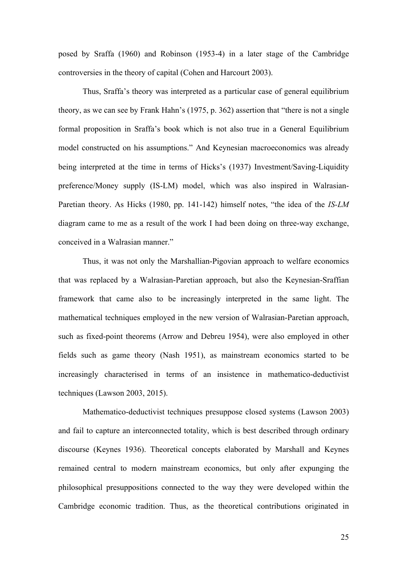posed by Sraffa (1960) and Robinson (1953-4) in a later stage of the Cambridge controversies in the theory of capital (Cohen and Harcourt 2003).

Thus, Sraffa's theory was interpreted as a particular case of general equilibrium theory, as we can see by Frank Hahn's (1975, p. 362) assertion that "there is not a single formal proposition in Sraffa's book which is not also true in a General Equilibrium model constructed on his assumptions." And Keynesian macroeconomics was already being interpreted at the time in terms of Hicks's (1937) Investment/Saving-Liquidity preference/Money supply (IS-LM) model, which was also inspired in Walrasian-Paretian theory. As Hicks (1980, pp. 141-142) himself notes, "the idea of the *IS-LM* diagram came to me as a result of the work I had been doing on three-way exchange, conceived in a Walrasian manner."

Thus, it was not only the Marshallian-Pigovian approach to welfare economics that was replaced by a Walrasian-Paretian approach, but also the Keynesian-Sraffian framework that came also to be increasingly interpreted in the same light. The mathematical techniques employed in the new version of Walrasian-Paretian approach, such as fixed-point theorems (Arrow and Debreu 1954), were also employed in other fields such as game theory (Nash 1951), as mainstream economics started to be increasingly characterised in terms of an insistence in mathematico-deductivist techniques (Lawson 2003, 2015).

Mathematico-deductivist techniques presuppose closed systems (Lawson 2003) and fail to capture an interconnected totality, which is best described through ordinary discourse (Keynes 1936). Theoretical concepts elaborated by Marshall and Keynes remained central to modern mainstream economics, but only after expunging the philosophical presuppositions connected to the way they were developed within the Cambridge economic tradition. Thus, as the theoretical contributions originated in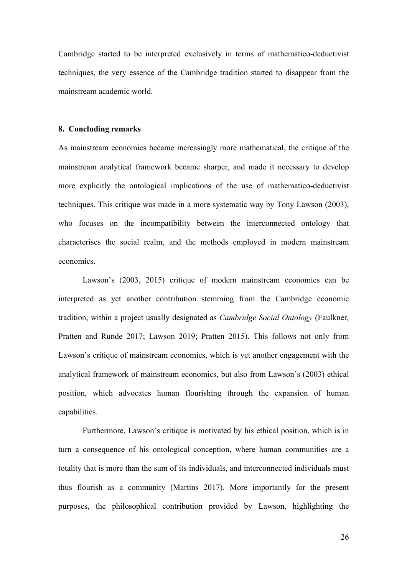Cambridge started to be interpreted exclusively in terms of mathematico-deductivist techniques, the very essence of the Cambridge tradition started to disappear from the mainstream academic world.

## **8. Concluding remarks**

As mainstream economics became increasingly more mathematical, the critique of the mainstream analytical framework became sharper, and made it necessary to develop more explicitly the ontological implications of the use of mathematico-deductivist techniques. This critique was made in a more systematic way by Tony Lawson (2003), who focuses on the incompatibility between the interconnected ontology that characterises the social realm, and the methods employed in modern mainstream economics.

Lawson's (2003, 2015) critique of modern mainstream economics can be interpreted as yet another contribution stemming from the Cambridge economic tradition, within a project usually designated as *Cambridge Social Ontology* (Faulkner, Pratten and Runde 2017; Lawson 2019; Pratten 2015). This follows not only from Lawson's critique of mainstream economics, which is yet another engagement with the analytical framework of mainstream economics, but also from Lawson's (2003) ethical position, which advocates human flourishing through the expansion of human capabilities.

Furthermore, Lawson's critique is motivated by his ethical position, which is in turn a consequence of his ontological conception, where human communities are a totality that is more than the sum of its individuals, and interconnected individuals must thus flourish as a community (Martins 2017). More importantly for the present purposes, the philosophical contribution provided by Lawson, highlighting the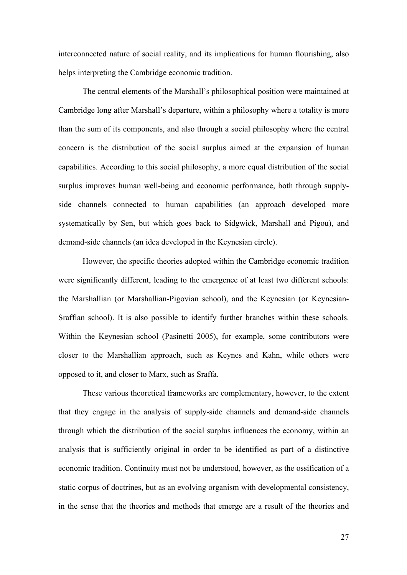interconnected nature of social reality, and its implications for human flourishing, also helps interpreting the Cambridge economic tradition.

The central elements of the Marshall's philosophical position were maintained at Cambridge long after Marshall's departure, within a philosophy where a totality is more than the sum of its components, and also through a social philosophy where the central concern is the distribution of the social surplus aimed at the expansion of human capabilities. According to this social philosophy, a more equal distribution of the social surplus improves human well-being and economic performance, both through supplyside channels connected to human capabilities (an approach developed more systematically by Sen, but which goes back to Sidgwick, Marshall and Pigou), and demand-side channels (an idea developed in the Keynesian circle).

However, the specific theories adopted within the Cambridge economic tradition were significantly different, leading to the emergence of at least two different schools: the Marshallian (or Marshallian-Pigovian school), and the Keynesian (or Keynesian-Sraffian school). It is also possible to identify further branches within these schools. Within the Keynesian school (Pasinetti 2005), for example, some contributors were closer to the Marshallian approach, such as Keynes and Kahn, while others were opposed to it, and closer to Marx, such as Sraffa.

These various theoretical frameworks are complementary, however, to the extent that they engage in the analysis of supply-side channels and demand-side channels through which the distribution of the social surplus influences the economy, within an analysis that is sufficiently original in order to be identified as part of a distinctive economic tradition. Continuity must not be understood, however, as the ossification of a static corpus of doctrines, but as an evolving organism with developmental consistency, in the sense that the theories and methods that emerge are a result of the theories and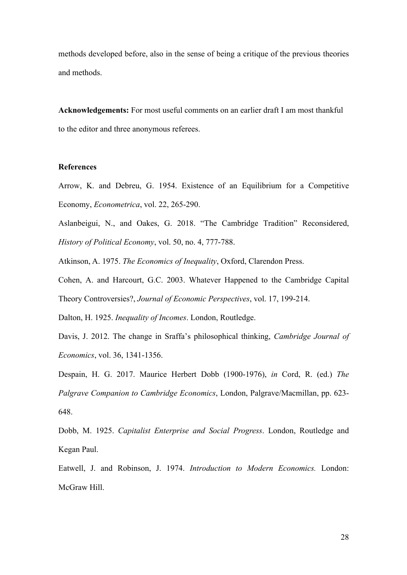methods developed before, also in the sense of being a critique of the previous theories and methods.

**Acknowledgements:** For most useful comments on an earlier draft I am most thankful to the editor and three anonymous referees.

### **References**

Arrow, K. and Debreu, G. 1954. Existence of an Equilibrium for a Competitive Economy, *Econometrica*, vol. 22, 265-290.

Aslanbeigui, N., and Oakes, G. 2018. "The Cambridge Tradition" Reconsidered, *History of Political Economy*, vol. 50, no. 4, 777-788.

Atkinson, A. 1975. *The Economics of Inequality*, Oxford, Clarendon Press.

Cohen, A. and Harcourt, G.C. 2003. Whatever Happened to the Cambridge Capital Theory Controversies?, *Journal of Economic Perspectives*, vol. 17, 199-214.

Dalton, H. 1925. *Inequality of Incomes*. London, Routledge.

Davis, J. 2012. The change in Sraffa's philosophical thinking, *Cambridge Journal of Economics*, vol. 36, 1341-1356.

Despain, H. G. 2017. Maurice Herbert Dobb (1900-1976), *in* Cord, R. (ed.) *The Palgrave Companion to Cambridge Economics*, London, Palgrave/Macmillan, pp. 623- 648.

Dobb, M. 1925. *Capitalist Enterprise and Social Progress*. London, Routledge and Kegan Paul.

Eatwell, J. and Robinson, J. 1974. *Introduction to Modern Economics.* London: McGraw Hill.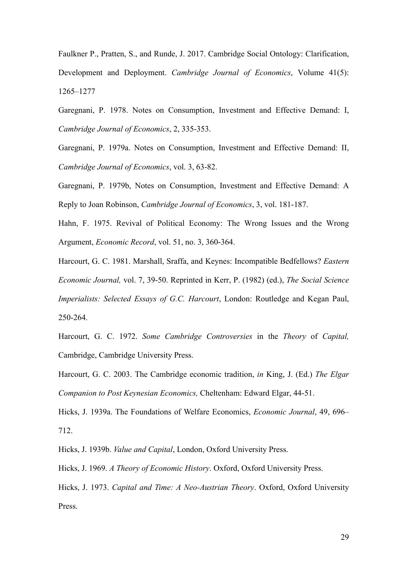Faulkner P., Pratten, S., and Runde, J. 2017. Cambridge Social Ontology: Clarification, Development and Deployment. *Cambridge Journal of Economics*, Volume 41(5): 1265–1277

Garegnani, P. 1978. Notes on Consumption, Investment and Effective Demand: I, *Cambridge Journal of Economics*, 2, 335-353.

Garegnani, P. 1979a. Notes on Consumption, Investment and Effective Demand: II, *Cambridge Journal of Economics*, vol. 3, 63-82.

Garegnani, P. 1979b, Notes on Consumption, Investment and Effective Demand: A Reply to Joan Robinson, *Cambridge Journal of Economics*, 3, vol. 181-187.

Hahn, F. 1975. Revival of Political Economy: The Wrong Issues and the Wrong Argument, *Economic Record*, vol. 51, no. 3, 360-364.

Harcourt, G. C. 1981. Marshall, Sraffa, and Keynes: Incompatible Bedfellows? *Eastern Economic Journal,* vol. 7, 39-50. Reprinted in Kerr, P. (1982) (ed.), *The Social Science Imperialists: Selected Essays of G.C. Harcourt*, London: Routledge and Kegan Paul, 250-264.

Harcourt, G. C. 1972. *Some Cambridge Controversies* in the *Theory* of *Capital,*  Cambridge, Cambridge University Press.

Harcourt, G. C. 2003. The Cambridge economic tradition, *in* King, J. (Ed.) *The Elgar Companion to Post Keynesian Economics,* Cheltenham: Edward Elgar, 44-51.

Hicks, J. 1939a. The Foundations of Welfare Economics, *Economic Journal*, 49, 696– 712.

Hicks, J. 1939b. *Value and Capital*, London, Oxford University Press.

Hicks, J. 1969. *A Theory of Economic History*. Oxford, Oxford University Press.

Hicks, J. 1973. *Capital and Time: A Neo-Austrian Theory*. Oxford, Oxford University Press.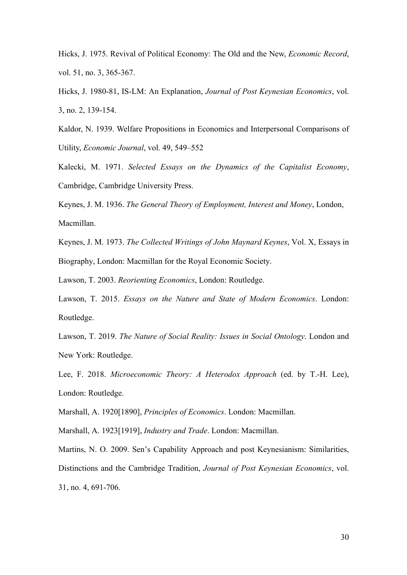Hicks, J. 1975. Revival of Political Economy: The Old and the New, *Economic Record*, vol. 51, no. 3, 365-367.

Hicks, J. 1980-81, IS-LM: An Explanation, *Journal of Post Keynesian Economics*, vol. 3, no. 2, 139-154.

Kaldor, N. 1939. Welfare Propositions in Economics and Interpersonal Comparisons of Utility, *Economic Journal*, vol. 49, 549–552

Kalecki, M. 1971. *Selected Essays on the Dynamics of the Capitalist Economy*, Cambridge, Cambridge University Press.

Keynes, J. M. 1936. *The General Theory of Employment, Interest and Money*, London, Macmillan.

Keynes, J. M. 1973. *The Collected Writings of John Maynard Keynes*, Vol. X, Essays in Biography, London: Macmillan for the Royal Economic Society.

Lawson, T. 2003. *Reorienting Economics*, London: Routledge.

Lawson, T. 2015. *Essays on the Nature and State of Modern Economics*. London: Routledge.

Lawson, T. 2019. *The Nature of Social Reality: Issues in Social Ontology*. London and New York: Routledge.

Lee, F. 2018. *Microeconomic Theory: A Heterodox Approach* (ed. by T.-H. Lee), London: Routledge.

Marshall, A. 1920[1890], *Principles of Economics*. London: Macmillan.

Marshall, A. 1923[1919], *Industry and Trade*. London: Macmillan.

Martins, N. O. 2009. Sen's Capability Approach and post Keynesianism: Similarities, Distinctions and the Cambridge Tradition, *Journal of Post Keynesian Economics*, vol. 31, no. 4, 691-706.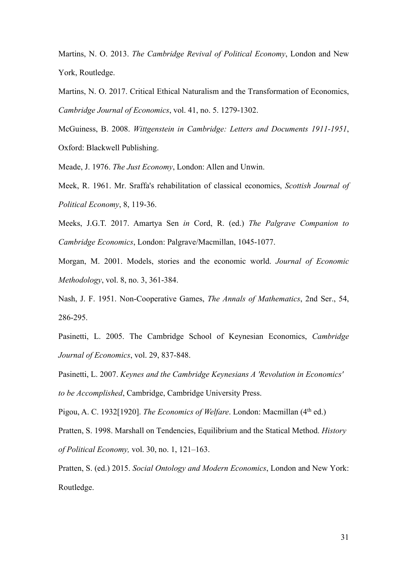Martins, N. O. 2013. *The Cambridge Revival of Political Economy*, London and New York, Routledge.

Martins, N. O. 2017. Critical Ethical Naturalism and the Transformation of Economics, *Cambridge Journal of Economics*, vol. 41, no. 5. 1279-1302.

McGuiness, B. 2008. *Wittgenstein in Cambridge: Letters and Documents 1911-1951*, Oxford: Blackwell Publishing.

Meade, J. 1976. *The Just Economy*, London: Allen and Unwin.

Meek, R. 1961. Mr. Sraffa's rehabilitation of classical economics, *Scottish Journal of Political Economy*, 8, 119-36.

Meeks, J.G.T. 2017. Amartya Sen *in* Cord, R. (ed.) *The Palgrave Companion to Cambridge Economics*, London: Palgrave/Macmillan, 1045-1077.

Morgan, M. 2001. Models, stories and the economic world. *Journal of Economic Methodology*, vol. 8, no. 3, 361-384.

Nash, J. F. 1951. Non-Cooperative Games, *The Annals of Mathematics*, 2nd Ser., 54, 286-295.

Pasinetti, L. 2005. The Cambridge School of Keynesian Economics, *Cambridge Journal of Economics*, vol. 29, 837-848.

Pasinetti, L. 2007. *Keynes and the Cambridge Keynesians A 'Revolution in Economics' to be Accomplished*, Cambridge, Cambridge University Press.

Pigou, A. C. 1932[1920]. *The Economics of Welfare*. London: Macmillan (4<sup>th</sup> ed.)

Pratten, S. 1998. Marshall on Tendencies, Equilibrium and the Statical Method. *History of Political Economy,* vol. 30, no. 1, 121–163.

Pratten, S. (ed.) 2015. *Social Ontology and Modern Economics*, London and New York: Routledge.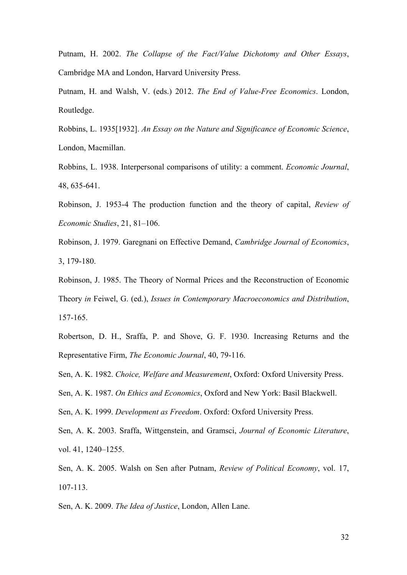Putnam, H. 2002. *The Collapse of the Fact/Value Dichotomy and Other Essays*, Cambridge MA and London, Harvard University Press.

Putnam, H. and Walsh, V. (eds.) 2012. *The End of Value-Free Economics*. London, Routledge.

Robbins, L. 1935[1932]. *An Essay on the Nature and Significance of Economic Science*, London, Macmillan.

Robbins, L. 1938. Interpersonal comparisons of utility: a comment. *Economic Journal*, 48, 635-641.

Robinson, J. 1953-4 The production function and the theory of capital, *Review of Economic Studies*, 21, 81–106.

Robinson, J. 1979. Garegnani on Effective Demand, *Cambridge Journal of Economics*, 3, 179-180.

Robinson, J. 1985. The Theory of Normal Prices and the Reconstruction of Economic Theory *in* Feiwel, G. (ed.), *Issues in Contemporary Macroeconomics and Distribution*, 157-165.

Robertson, D. H., Sraffa, P. and Shove, G. F. 1930. Increasing Returns and the Representative Firm, *The Economic Journal*, 40, 79-116.

Sen, A. K. 1982. *Choice, Welfare and Measurement*, Oxford: Oxford University Press.

Sen, A. K. 1987. *On Ethics and Economics*, Oxford and New York: Basil Blackwell.

Sen, A. K. 1999. *Development as Freedom*. Oxford: Oxford University Press.

Sen, A. K. 2003. Sraffa, Wittgenstein, and Gramsci, *Journal of Economic Literature*, vol. 41, 1240–1255.

Sen, A. K. 2005. Walsh on Sen after Putnam, *Review of Political Economy*, vol. 17, 107-113.

Sen, A. K. 2009. *The Idea of Justice*, London, Allen Lane.

32